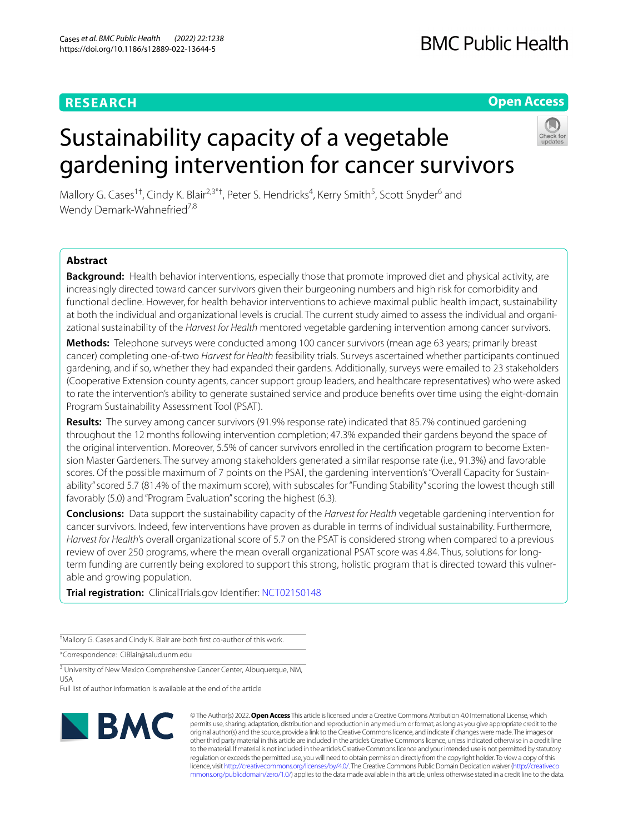## **RESEARCH**

**Open Access**

# Sustainability capacity of a vegetable gardening intervention for cancer survivors



Mallory G. Cases<sup>1†</sup>, Cindy K. Blair<sup>2,3\*†</sup>, Peter S. Hendricks<sup>4</sup>, Kerry Smith<sup>5</sup>, Scott Snyder<sup>6</sup> and Wendy Demark-Wahnefried<sup>7,8</sup>

## **Abstract**

**Background:** Health behavior interventions, especially those that promote improved diet and physical activity, are increasingly directed toward cancer survivors given their burgeoning numbers and high risk for comorbidity and functional decline. However, for health behavior interventions to achieve maximal public health impact, sustainability at both the individual and organizational levels is crucial. The current study aimed to assess the individual and organizational sustainability of the *Harvest for Health* mentored vegetable gardening intervention among cancer survivors.

**Methods:** Telephone surveys were conducted among 100 cancer survivors (mean age 63 years; primarily breast cancer) completing one-of-two *Harvest for Health* feasibility trials. Surveys ascertained whether participants continued gardening, and if so, whether they had expanded their gardens. Additionally, surveys were emailed to 23 stakeholders (Cooperative Extension county agents, cancer support group leaders, and healthcare representatives) who were asked to rate the intervention's ability to generate sustained service and produce benefts over time using the eight-domain Program Sustainability Assessment Tool (PSAT).

**Results:** The survey among cancer survivors (91.9% response rate) indicated that 85.7% continued gardening throughout the 12 months following intervention completion; 47.3% expanded their gardens beyond the space of the original intervention. Moreover, 5.5% of cancer survivors enrolled in the certification program to become Extension Master Gardeners. The survey among stakeholders generated a similar response rate (i.e., 91.3%) and favorable scores. Of the possible maximum of 7 points on the PSAT, the gardening intervention's "Overall Capacity for Sustainability" scored 5.7 (81.4% of the maximum score), with subscales for "Funding Stability" scoring the lowest though still favorably (5.0) and "Program Evaluation" scoring the highest (6.3).

**Conclusions:** Data support the sustainability capacity of the *Harvest for Health* vegetable gardening intervention for cancer survivors. Indeed, few interventions have proven as durable in terms of individual sustainability. Furthermore, *Harvest for Health*'s overall organizational score of 5.7 on the PSAT is considered strong when compared to a previous review of over 250 programs, where the mean overall organizational PSAT score was 4.84. Thus, solutions for longterm funding are currently being explored to support this strong, holistic program that is directed toward this vulnerable and growing population.

**Trial registration:** ClinicalTrials.gov Identifer: [NCT02150148](https://clinicaltrials.gov/ct2/show/NCT02150148?term=NCT02150148&draw=2&rank=1)

† Mallory G. Cases and Cindy K. Blair are both frst co-author of this work.

\*Correspondence: CiBlair@salud.unm.edu

<sup>3</sup> University of New Mexico Comprehensive Cancer Center, Albuquerque, NM, USA

Full list of author information is available at the end of the article



© The Author(s) 2022. **Open Access** This article is licensed under a Creative Commons Attribution 4.0 International License, which permits use, sharing, adaptation, distribution and reproduction in any medium or format, as long as you give appropriate credit to the original author(s) and the source, provide a link to the Creative Commons licence, and indicate if changes were made. The images or other third party material in this article are included in the article's Creative Commons licence, unless indicated otherwise in a credit line to the material. If material is not included in the article's Creative Commons licence and your intended use is not permitted by statutory regulation or exceeds the permitted use, you will need to obtain permission directly from the copyright holder. To view a copy of this licence, visit [http://creativecommons.org/licenses/by/4.0/.](http://creativecommons.org/licenses/by/4.0/) The Creative Commons Public Domain Dedication waiver ([http://creativeco](http://creativecommons.org/publicdomain/zero/1.0/) [mmons.org/publicdomain/zero/1.0/](http://creativecommons.org/publicdomain/zero/1.0/)) applies to the data made available in this article, unless otherwise stated in a credit line to the data.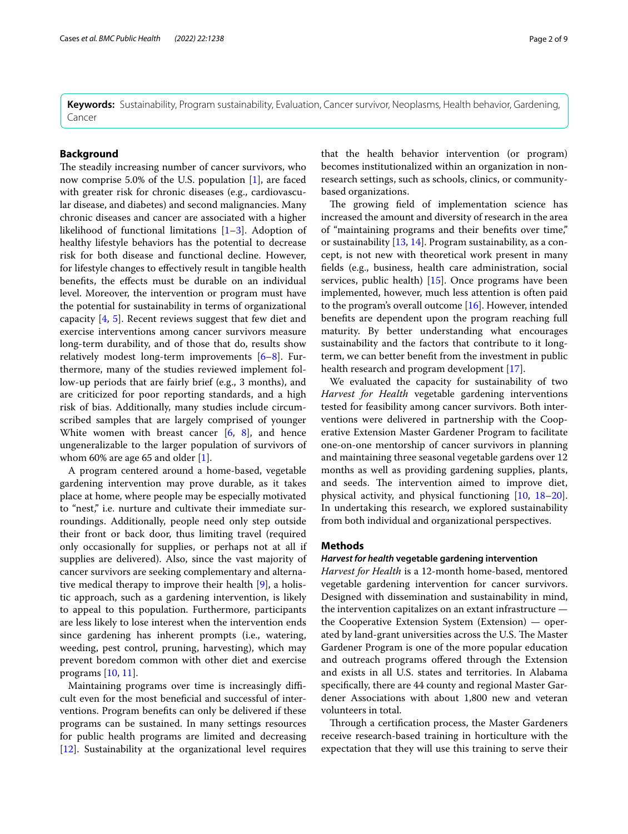**Keywords:** Sustainability, Program sustainability, Evaluation, Cancer survivor, Neoplasms, Health behavior, Gardening, Cancer

## **Background**

The steadily increasing number of cancer survivors, who now comprise 5.0% of the U.S. population [\[1](#page-7-0)], are faced with greater risk for chronic diseases (e.g., cardiovascular disease, and diabetes) and second malignancies. Many chronic diseases and cancer are associated with a higher likelihood of functional limitations [\[1–](#page-7-0)[3\]](#page-7-1). Adoption of healthy lifestyle behaviors has the potential to decrease risk for both disease and functional decline. However, for lifestyle changes to efectively result in tangible health benefts, the efects must be durable on an individual level. Moreover, the intervention or program must have the potential for sustainability in terms of organizational capacity [[4,](#page-7-2) [5\]](#page-8-0). Recent reviews suggest that few diet and exercise interventions among cancer survivors measure long-term durability, and of those that do, results show relatively modest long-term improvements [\[6](#page-8-1)[–8\]](#page-8-2). Furthermore, many of the studies reviewed implement follow-up periods that are fairly brief (e.g., 3 months), and are criticized for poor reporting standards, and a high risk of bias. Additionally, many studies include circumscribed samples that are largely comprised of younger White women with breast cancer  $[6, 8]$  $[6, 8]$  $[6, 8]$  $[6, 8]$ , and hence ungeneralizable to the larger population of survivors of whom 60% are age 65 and older [[1\]](#page-7-0).

A program centered around a home-based, vegetable gardening intervention may prove durable, as it takes place at home, where people may be especially motivated to "nest," i.e. nurture and cultivate their immediate surroundings. Additionally, people need only step outside their front or back door, thus limiting travel (required only occasionally for supplies, or perhaps not at all if supplies are delivered). Also, since the vast majority of cancer survivors are seeking complementary and alternative medical therapy to improve their health [\[9](#page-8-3)], a holistic approach, such as a gardening intervention, is likely to appeal to this population. Furthermore, participants are less likely to lose interest when the intervention ends since gardening has inherent prompts (i.e., watering, weeding, pest control, pruning, harvesting), which may prevent boredom common with other diet and exercise programs [\[10](#page-8-4), [11\]](#page-8-5).

Maintaining programs over time is increasingly difficult even for the most benefcial and successful of interventions. Program benefts can only be delivered if these programs can be sustained. In many settings resources for public health programs are limited and decreasing [[12\]](#page-8-6). Sustainability at the organizational level requires that the health behavior intervention (or program) becomes institutionalized within an organization in nonresearch settings, such as schools, clinics, or communitybased organizations.

The growing field of implementation science has increased the amount and diversity of research in the area of "maintaining programs and their benefts over time," or sustainability [\[13](#page-8-7), [14](#page-8-8)]. Program sustainability, as a concept, is not new with theoretical work present in many felds (e.g., business, health care administration, social services, public health) [\[15](#page-8-9)]. Once programs have been implemented, however, much less attention is often paid to the program's overall outcome [\[16\]](#page-8-10). However, intended benefts are dependent upon the program reaching full maturity. By better understanding what encourages sustainability and the factors that contribute to it longterm, we can better beneft from the investment in public health research and program development [\[17](#page-8-11)].

We evaluated the capacity for sustainability of two *Harvest for Health* vegetable gardening interventions tested for feasibility among cancer survivors. Both interventions were delivered in partnership with the Cooperative Extension Master Gardener Program to facilitate one-on-one mentorship of cancer survivors in planning and maintaining three seasonal vegetable gardens over 12 months as well as providing gardening supplies, plants, and seeds. The intervention aimed to improve diet, physical activity, and physical functioning [[10,](#page-8-4) [18](#page-8-12)[–20](#page-8-13)]. In undertaking this research, we explored sustainability from both individual and organizational perspectives.

## **Methods**

## *Harvest for health* **vegetable gardening intervention**

*Harvest for Health* is a 12-month home-based, mentored vegetable gardening intervention for cancer survivors. Designed with dissemination and sustainability in mind, the intervention capitalizes on an extant infrastructure the Cooperative Extension System (Extension) — operated by land-grant universities across the U.S. The Master Gardener Program is one of the more popular education and outreach programs ofered through the Extension and exists in all U.S. states and territories. In Alabama specifcally, there are 44 county and regional Master Gardener Associations with about 1,800 new and veteran volunteers in total.

Through a certification process, the Master Gardeners receive research-based training in horticulture with the expectation that they will use this training to serve their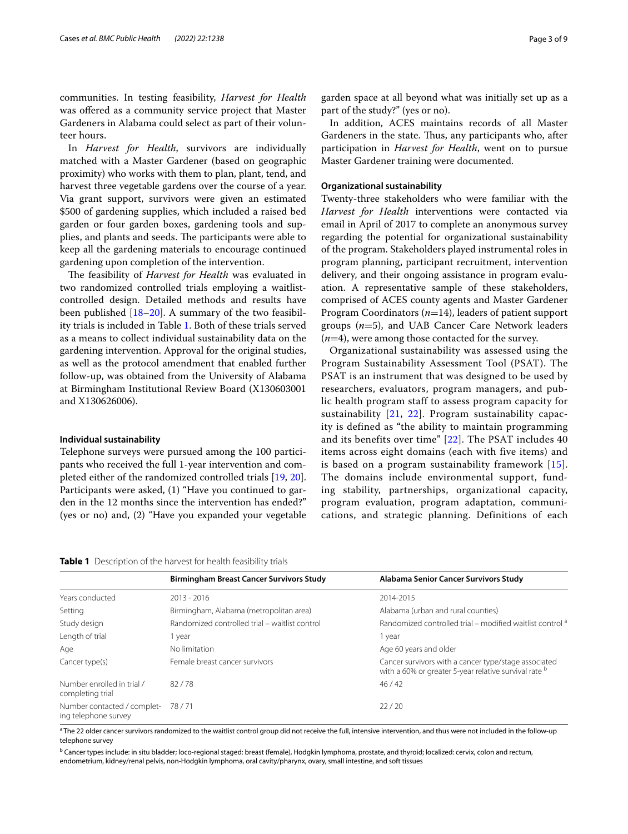communities. In testing feasibility, *Harvest for Health* was ofered as a community service project that Master Gardeners in Alabama could select as part of their volunteer hours.

In *Harvest for Health*, survivors are individually matched with a Master Gardener (based on geographic proximity) who works with them to plan, plant, tend, and harvest three vegetable gardens over the course of a year. Via grant support, survivors were given an estimated \$500 of gardening supplies, which included a raised bed garden or four garden boxes, gardening tools and supplies, and plants and seeds. The participants were able to keep all the gardening materials to encourage continued gardening upon completion of the intervention.

The feasibility of *Harvest for Health* was evaluated in two randomized controlled trials employing a waitlistcontrolled design. Detailed methods and results have been published  $[18–20]$  $[18–20]$ . A summary of the two feasibility trials is included in Table [1](#page-2-0). Both of these trials served as a means to collect individual sustainability data on the gardening intervention. Approval for the original studies, as well as the protocol amendment that enabled further follow-up, was obtained from the University of Alabama at Birmingham Institutional Review Board (X130603001 and X130626006).

#### **Individual sustainability**

Telephone surveys were pursued among the 100 participants who received the full 1-year intervention and completed either of the randomized controlled trials [[19](#page-8-14), [20](#page-8-13)]. Participants were asked, (1) "Have you continued to garden in the 12 months since the intervention has ended?" (yes or no) and, (2) "Have you expanded your vegetable

garden space at all beyond what was initially set up as a part of the study?" (yes or no).

In addition, ACES maintains records of all Master Gardeners in the state. Thus, any participants who, after participation in *Harvest for Health*, went on to pursue Master Gardener training were documented.

### **Organizational sustainability**

Twenty-three stakeholders who were familiar with the *Harvest for Health* interventions were contacted via email in April of 2017 to complete an anonymous survey regarding the potential for organizational sustainability of the program. Stakeholders played instrumental roles in program planning, participant recruitment, intervention delivery, and their ongoing assistance in program evaluation. A representative sample of these stakeholders, comprised of ACES county agents and Master Gardener Program Coordinators (*n*=14), leaders of patient support groups (*n*=5), and UAB Cancer Care Network leaders (*n*=4), were among those contacted for the survey.

Organizational sustainability was assessed using the Program Sustainability Assessment Tool (PSAT). The PSAT is an instrument that was designed to be used by researchers, evaluators, program managers, and public health program staff to assess program capacity for sustainability [[21,](#page-8-15) [22](#page-8-16)]. Program sustainability capacity is defined as "the ability to maintain programming and its benefits over time" [\[22\]](#page-8-16). The PSAT includes 40 items across eight domains (each with five items) and is based on a program sustainability framework [[15\]](#page-8-9). The domains include environmental support, funding stability, partnerships, organizational capacity, program evaluation, program adaptation, communications, and strategic planning. Definitions of each

<span id="page-2-0"></span>**Table 1** Description of the harvest for health feasibility trials

|                                                             | <b>Birmingham Breast Cancer Survivors Study</b>                                                                                                 | Alabama Senior Cancer Survivors Study                                |  |
|-------------------------------------------------------------|-------------------------------------------------------------------------------------------------------------------------------------------------|----------------------------------------------------------------------|--|
| Years conducted                                             | $2013 - 2016$                                                                                                                                   | 2014-2015                                                            |  |
| Setting                                                     | Birmingham, Alabama (metropolitan area)                                                                                                         | Alabama (urban and rural counties)                                   |  |
| Study design                                                | Randomized controlled trial – waitlist control                                                                                                  | Randomized controlled trial – modified waitlist control <sup>a</sup> |  |
| Length of trial                                             | 1 year                                                                                                                                          | 1 year                                                               |  |
| Age                                                         | No limitation                                                                                                                                   | Age 60 years and older                                               |  |
| Cancer type(s)                                              | Female breast cancer survivors<br>Cancer survivors with a cancer type/stage associated<br>with a 60% or greater 5-year relative survival rate b |                                                                      |  |
| Number enrolled in trial /<br>completing trial              | 82/78                                                                                                                                           | 46/42                                                                |  |
| Number contacted / complet- 78 / 71<br>ing telephone survey |                                                                                                                                                 | 22/20                                                                |  |

<sup>a</sup> The 22 older cancer survivors randomized to the waitlist control group did not receive the full, intensive intervention, and thus were not included in the follow-up telephone survey

<sup>b</sup> Cancer types include: in situ bladder; loco-regional staged: breast (female), Hodgkin lymphoma, prostate, and thyroid; localized: cervix, colon and rectum, endometrium, kidney/renal pelvis, non-Hodgkin lymphoma, oral cavity/pharynx, ovary, small intestine, and soft tissues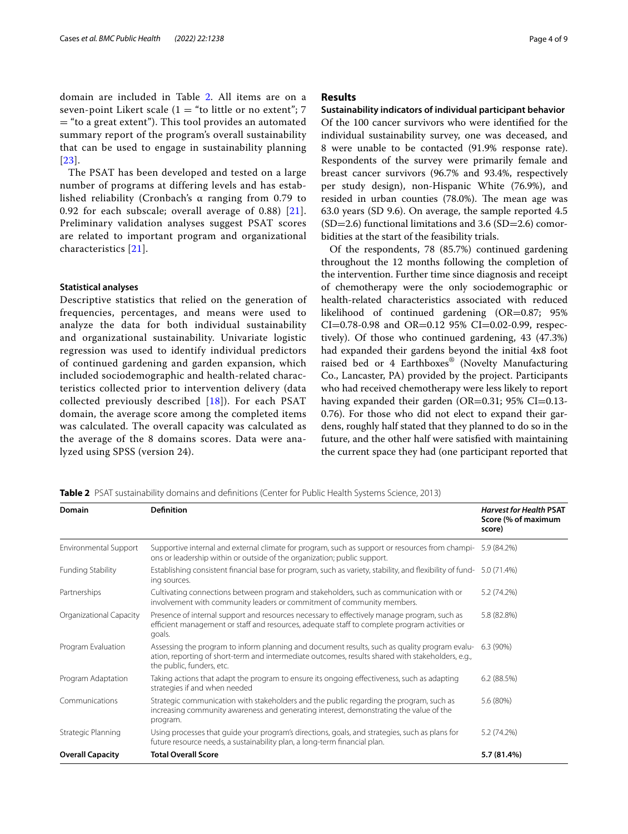domain are included in Table [2.](#page-3-0) All items are on a seven-point Likert scale ( $1 =$  "to little or no extent"; 7 = "to a great extent"). This tool provides an automated summary report of the program's overall sustainability that can be used to engage in sustainability planning [[23](#page-8-17)].

The PSAT has been developed and tested on a large number of programs at differing levels and has established reliability (Cronbach's α ranging from 0.79 to 0.92 for each subscale; overall average of 0.88) [[21\]](#page-8-15). Preliminary validation analyses suggest PSAT scores are related to important program and organizational characteristics [[21\]](#page-8-15).

#### **Statistical analyses**

Descriptive statistics that relied on the generation of frequencies, percentages, and means were used to analyze the data for both individual sustainability and organizational sustainability. Univariate logistic regression was used to identify individual predictors of continued gardening and garden expansion, which included sociodemographic and health-related characteristics collected prior to intervention delivery (data collected previously described  $[18]$  $[18]$ ). For each PSAT domain, the average score among the completed items was calculated. The overall capacity was calculated as the average of the 8 domains scores. Data were analyzed using SPSS (version 24).

## **Results**

**Sustainability indicators of individual participant behavior** Of the 100 cancer survivors who were identifed for the individual sustainability survey, one was deceased, and 8 were unable to be contacted (91.9% response rate). Respondents of the survey were primarily female and breast cancer survivors (96.7% and 93.4%, respectively per study design), non-Hispanic White (76.9%), and resided in urban counties (78.0%). The mean age was 63.0 years (SD 9.6). On average, the sample reported 4.5  $(SD=2.6)$  functional limitations and 3.6  $(SD=2.6)$  comorbidities at the start of the feasibility trials.

Of the respondents, 78 (85.7%) continued gardening throughout the 12 months following the completion of the intervention. Further time since diagnosis and receipt of chemotherapy were the only sociodemographic or health-related characteristics associated with reduced likelihood of continued gardening (OR=0.87; 95%  $CI=0.78-0.98$  and  $OR=0.12$  95%  $CI=0.02-0.99$ , respectively). Of those who continued gardening, 43 (47.3%) had expanded their gardens beyond the initial 4x8 foot raised bed or 4 Earthboxes® (Novelty Manufacturing Co., Lancaster, PA) provided by the project. Participants who had received chemotherapy were less likely to report having expanded their garden (OR=0.31; 95% CI=0.13-0.76). For those who did not elect to expand their gardens, roughly half stated that they planned to do so in the future, and the other half were satisfed with maintaining the current space they had (one participant reported that

<span id="page-3-0"></span>

|  |  | <b>Table 2</b> PSAT sustainability domains and definitions (Center for Public Health Systems Science, 2013) |  |  |
|--|--|-------------------------------------------------------------------------------------------------------------|--|--|
|--|--|-------------------------------------------------------------------------------------------------------------|--|--|

| Domain                       | <b>Definition</b>                                                                                                                                                                                                               | <b>Harvest for Health PSAT</b><br>Score (% of maximum<br>score) |
|------------------------------|---------------------------------------------------------------------------------------------------------------------------------------------------------------------------------------------------------------------------------|-----------------------------------------------------------------|
| <b>Environmental Support</b> | Supportive internal and external climate for program, such as support or resources from champi- 5.9 (84.2%)<br>ons or leadership within or outside of the organization; public support.                                         |                                                                 |
| <b>Funding Stability</b>     | Establishing consistent financial base for program, such as variety, stability, and flexibility of fund-<br>ing sources.                                                                                                        | 5.0 (71.4%)                                                     |
| Partnerships                 | Cultivating connections between program and stakeholders, such as communication with or<br>involvement with community leaders or commitment of community members.                                                               | 5.2 (74.2%)                                                     |
| Organizational Capacity      | Presence of internal support and resources necessary to effectively manage program, such as<br>efficient management or staff and resources, adequate staff to complete program activities or<br>goals.                          | 5.8 (82.8%)                                                     |
| Program Evaluation           | Assessing the program to inform planning and document results, such as quality program evalu-<br>ation, reporting of short-term and intermediate outcomes, results shared with stakeholders, e.g.,<br>the public, funders, etc. | 6.3 (90%)                                                       |
| Program Adaptation           | Taking actions that adapt the program to ensure its ongoing effectiveness, such as adapting<br>strategies if and when needed                                                                                                    | 6.2(88.5%)                                                      |
| Communications               | Strategic communication with stakeholders and the public regarding the program, such as<br>increasing community awareness and generating interest, demonstrating the value of the<br>program.                                   | 5.6 (80%)                                                       |
| Strategic Planning           | Using processes that quide your program's directions, goals, and strategies, such as plans for<br>future resource needs, a sustainability plan, a long-term financial plan.                                                     | 5.2 (74.2%)                                                     |
| <b>Overall Capacity</b>      | <b>Total Overall Score</b>                                                                                                                                                                                                      | 5.7 (81.4%)                                                     |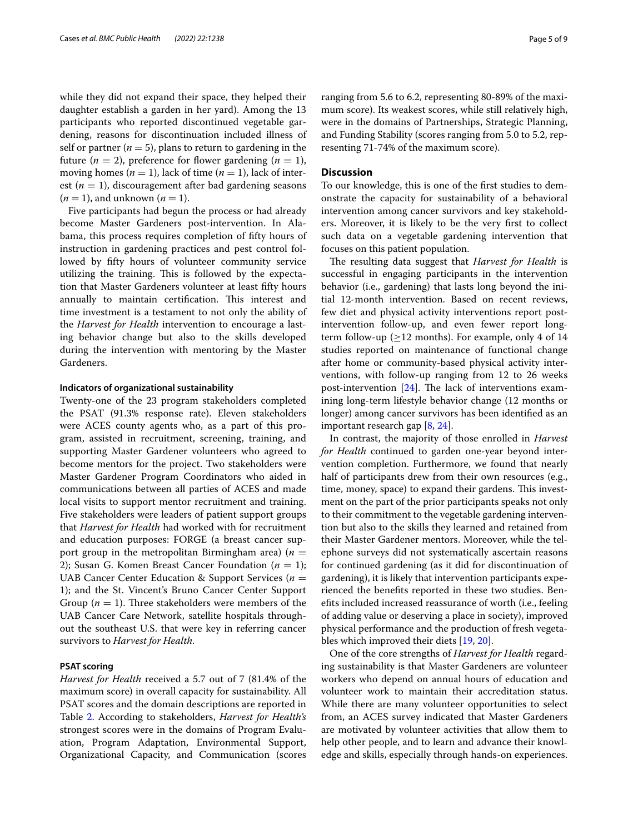while they did not expand their space, they helped their daughter establish a garden in her yard). Among the 13 participants who reported discontinued vegetable gardening, reasons for discontinuation included illness of self or partner ( $n = 5$ ), plans to return to gardening in the future  $(n = 2)$ , preference for flower gardening  $(n = 1)$ , moving homes ( $n = 1$ ), lack of time ( $n = 1$ ), lack of interest  $(n = 1)$ , discouragement after bad gardening seasons  $(n = 1)$ , and unknown  $(n = 1)$ .

Five participants had begun the process or had already become Master Gardeners post-intervention. In Alabama, this process requires completion of ffty hours of instruction in gardening practices and pest control followed by ffty hours of volunteer community service utilizing the training. This is followed by the expectation that Master Gardeners volunteer at least ffty hours annually to maintain certification. This interest and time investment is a testament to not only the ability of the *Harvest for Health* intervention to encourage a lasting behavior change but also to the skills developed during the intervention with mentoring by the Master Gardeners.

#### **Indicators of organizational sustainability**

Twenty-one of the 23 program stakeholders completed the PSAT (91.3% response rate). Eleven stakeholders were ACES county agents who, as a part of this program, assisted in recruitment, screening, training, and supporting Master Gardener volunteers who agreed to become mentors for the project. Two stakeholders were Master Gardener Program Coordinators who aided in communications between all parties of ACES and made local visits to support mentor recruitment and training. Five stakeholders were leaders of patient support groups that *Harvest for Health* had worked with for recruitment and education purposes: FORGE (a breast cancer support group in the metropolitan Birmingham area)  $(n =$ 2); Susan G. Komen Breast Cancer Foundation  $(n = 1)$ ; UAB Cancer Center Education & Support Services (*n* = 1); and the St. Vincent's Bruno Cancer Center Support Group  $(n = 1)$ . Three stakeholders were members of the UAB Cancer Care Network, satellite hospitals throughout the southeast U.S. that were key in referring cancer survivors to *Harvest for Health*.

#### **PSAT scoring**

*Harvest for Health* received a 5.7 out of 7 (81.4% of the maximum score) in overall capacity for sustainability. All PSAT scores and the domain descriptions are reported in Table [2](#page-3-0). According to stakeholders, *Harvest for Health's* strongest scores were in the domains of Program Evaluation, Program Adaptation, Environmental Support, Organizational Capacity, and Communication (scores ranging from 5.6 to 6.2, representing 80-89% of the maximum score). Its weakest scores, while still relatively high, were in the domains of Partnerships, Strategic Planning, and Funding Stability (scores ranging from 5.0 to 5.2, representing 71-74% of the maximum score).

## **Discussion**

To our knowledge, this is one of the frst studies to demonstrate the capacity for sustainability of a behavioral intervention among cancer survivors and key stakeholders. Moreover, it is likely to be the very frst to collect such data on a vegetable gardening intervention that focuses on this patient population.

The resulting data suggest that *Harvest for Health* is successful in engaging participants in the intervention behavior (i.e., gardening) that lasts long beyond the initial 12-month intervention. Based on recent reviews, few diet and physical activity interventions report postintervention follow-up, and even fewer report longterm follow-up ( $\geq$ 12 months). For example, only 4 of 14 studies reported on maintenance of functional change after home or community-based physical activity interventions, with follow-up ranging from 12 to 26 weeks post-intervention  $[24]$  $[24]$ . The lack of interventions examining long-term lifestyle behavior change (12 months or longer) among cancer survivors has been identifed as an important research gap [\[8](#page-8-2), [24\]](#page-8-18).

In contrast, the majority of those enrolled in *Harvest for Health* continued to garden one-year beyond intervention completion. Furthermore, we found that nearly half of participants drew from their own resources (e.g., time, money, space) to expand their gardens. This investment on the part of the prior participants speaks not only to their commitment to the vegetable gardening intervention but also to the skills they learned and retained from their Master Gardener mentors. Moreover, while the telephone surveys did not systematically ascertain reasons for continued gardening (as it did for discontinuation of gardening), it is likely that intervention participants experienced the benefts reported in these two studies. Benefts included increased reassurance of worth (i.e., feeling of adding value or deserving a place in society), improved physical performance and the production of fresh vegetables which improved their diets [[19](#page-8-14), [20\]](#page-8-13).

One of the core strengths of *Harvest for Health* regarding sustainability is that Master Gardeners are volunteer workers who depend on annual hours of education and volunteer work to maintain their accreditation status. While there are many volunteer opportunities to select from, an ACES survey indicated that Master Gardeners are motivated by volunteer activities that allow them to help other people, and to learn and advance their knowledge and skills, especially through hands-on experiences.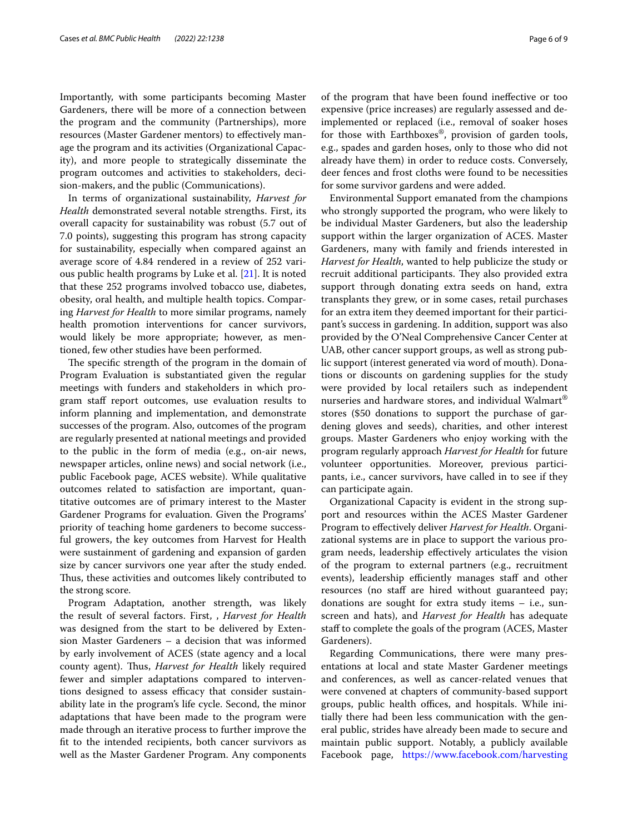Importantly, with some participants becoming Master Gardeners, there will be more of a connection between the program and the community (Partnerships), more resources (Master Gardener mentors) to efectively manage the program and its activities (Organizational Capacity), and more people to strategically disseminate the program outcomes and activities to stakeholders, decision-makers, and the public (Communications).

In terms of organizational sustainability, *Harvest for Health* demonstrated several notable strengths. First, its overall capacity for sustainability was robust (5.7 out of 7.0 points), suggesting this program has strong capacity for sustainability, especially when compared against an average score of 4.84 rendered in a review of 252 various public health programs by Luke et al. [\[21](#page-8-15)]. It is noted that these 252 programs involved tobacco use, diabetes, obesity, oral health, and multiple health topics. Comparing *Harvest for Health* to more similar programs, namely health promotion interventions for cancer survivors, would likely be more appropriate; however, as mentioned, few other studies have been performed.

The specific strength of the program in the domain of Program Evaluation is substantiated given the regular meetings with funders and stakeholders in which program staff report outcomes, use evaluation results to inform planning and implementation, and demonstrate successes of the program. Also, outcomes of the program are regularly presented at national meetings and provided to the public in the form of media (e.g., on-air news, newspaper articles, online news) and social network (i.e., public Facebook page, ACES website). While qualitative outcomes related to satisfaction are important, quantitative outcomes are of primary interest to the Master Gardener Programs for evaluation. Given the Programs' priority of teaching home gardeners to become successful growers, the key outcomes from Harvest for Health were sustainment of gardening and expansion of garden size by cancer survivors one year after the study ended. Thus, these activities and outcomes likely contributed to the strong score.

Program Adaptation, another strength, was likely the result of several factors. First, , *Harvest for Health* was designed from the start to be delivered by Extension Master Gardeners – a decision that was informed by early involvement of ACES (state agency and a local county agent). Thus, *Harvest for Health* likely required fewer and simpler adaptations compared to interventions designed to assess efficacy that consider sustainability late in the program's life cycle. Second, the minor adaptations that have been made to the program were made through an iterative process to further improve the ft to the intended recipients, both cancer survivors as well as the Master Gardener Program. Any components of the program that have been found inefective or too expensive (price increases) are regularly assessed and deimplemented or replaced (i.e., removal of soaker hoses for those with Earthboxes®, provision of garden tools, e.g., spades and garden hoses, only to those who did not already have them) in order to reduce costs. Conversely, deer fences and frost cloths were found to be necessities for some survivor gardens and were added.

Environmental Support emanated from the champions who strongly supported the program, who were likely to be individual Master Gardeners, but also the leadership support within the larger organization of ACES. Master Gardeners, many with family and friends interested in *Harvest for Health*, wanted to help publicize the study or recruit additional participants. They also provided extra support through donating extra seeds on hand, extra transplants they grew, or in some cases, retail purchases for an extra item they deemed important for their participant's success in gardening. In addition, support was also provided by the O'Neal Comprehensive Cancer Center at UAB, other cancer support groups, as well as strong public support (interest generated via word of mouth). Donations or discounts on gardening supplies for the study were provided by local retailers such as independent nurseries and hardware stores, and individual Walmart® stores (\$50 donations to support the purchase of gardening gloves and seeds), charities, and other interest groups. Master Gardeners who enjoy working with the program regularly approach *Harvest for Health* for future volunteer opportunities. Moreover, previous participants, i.e., cancer survivors, have called in to see if they can participate again.

Organizational Capacity is evident in the strong support and resources within the ACES Master Gardener Program to efectively deliver *Harvest for Health*. Organizational systems are in place to support the various program needs, leadership efectively articulates the vision of the program to external partners (e.g., recruitment events), leadership efficiently manages staff and other resources (no staff are hired without guaranteed pay; donations are sought for extra study items – i.e., sunscreen and hats), and *Harvest for Health* has adequate staff to complete the goals of the program (ACES, Master Gardeners).

Regarding Communications, there were many presentations at local and state Master Gardener meetings and conferences, as well as cancer-related venues that were convened at chapters of community-based support groups, public health offices, and hospitals. While initially there had been less communication with the general public, strides have already been made to secure and maintain public support. Notably, a publicly available Facebook page, [https://www.facebook.com/harvesting](https://www.facebook.com/harvesting4health/)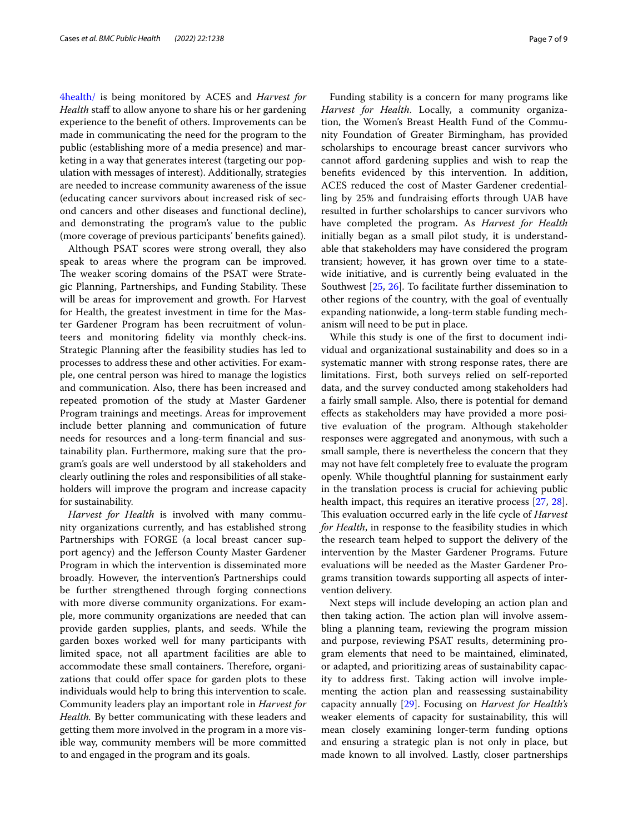[4health/](https://www.facebook.com/harvesting4health/) is being monitored by ACES and *Harvest for Health* staff to allow anyone to share his or her gardening experience to the beneft of others. Improvements can be made in communicating the need for the program to the public (establishing more of a media presence) and marketing in a way that generates interest (targeting our population with messages of interest). Additionally, strategies are needed to increase community awareness of the issue (educating cancer survivors about increased risk of second cancers and other diseases and functional decline), and demonstrating the program's value to the public (more coverage of previous participants' benefts gained).

Although PSAT scores were strong overall, they also speak to areas where the program can be improved. The weaker scoring domains of the PSAT were Strategic Planning, Partnerships, and Funding Stability. These will be areas for improvement and growth. For Harvest for Health, the greatest investment in time for the Master Gardener Program has been recruitment of volunteers and monitoring fdelity via monthly check-ins. Strategic Planning after the feasibility studies has led to processes to address these and other activities. For example, one central person was hired to manage the logistics and communication. Also, there has been increased and repeated promotion of the study at Master Gardener Program trainings and meetings. Areas for improvement include better planning and communication of future needs for resources and a long-term fnancial and sustainability plan. Furthermore, making sure that the program's goals are well understood by all stakeholders and clearly outlining the roles and responsibilities of all stakeholders will improve the program and increase capacity for sustainability.

*Harvest for Health* is involved with many community organizations currently, and has established strong Partnerships with FORGE (a local breast cancer support agency) and the Jeferson County Master Gardener Program in which the intervention is disseminated more broadly. However, the intervention's Partnerships could be further strengthened through forging connections with more diverse community organizations. For example, more community organizations are needed that can provide garden supplies, plants, and seeds. While the garden boxes worked well for many participants with limited space, not all apartment facilities are able to accommodate these small containers. Therefore, organizations that could offer space for garden plots to these individuals would help to bring this intervention to scale. Community leaders play an important role in *Harvest for Health.* By better communicating with these leaders and getting them more involved in the program in a more visible way, community members will be more committed to and engaged in the program and its goals.

Funding stability is a concern for many programs like *Harvest for Health*. Locally, a community organization, the Women's Breast Health Fund of the Community Foundation of Greater Birmingham, has provided scholarships to encourage breast cancer survivors who cannot afford gardening supplies and wish to reap the benefts evidenced by this intervention. In addition, ACES reduced the cost of Master Gardener credentialling by 25% and fundraising eforts through UAB have resulted in further scholarships to cancer survivors who have completed the program. As *Harvest for Health* initially began as a small pilot study, it is understandable that stakeholders may have considered the program transient; however, it has grown over time to a statewide initiative, and is currently being evaluated in the Southwest [\[25](#page-8-19), [26](#page-8-20)]. To facilitate further dissemination to other regions of the country, with the goal of eventually expanding nationwide, a long-term stable funding mechanism will need to be put in place.

While this study is one of the frst to document individual and organizational sustainability and does so in a systematic manner with strong response rates, there are limitations. First, both surveys relied on self-reported data, and the survey conducted among stakeholders had a fairly small sample. Also, there is potential for demand efects as stakeholders may have provided a more positive evaluation of the program. Although stakeholder responses were aggregated and anonymous, with such a small sample, there is nevertheless the concern that they may not have felt completely free to evaluate the program openly. While thoughtful planning for sustainment early in the translation process is crucial for achieving public health impact, this requires an iterative process [\[27](#page-8-21), [28](#page-8-22)]. This evaluation occurred early in the life cycle of *Harvest for Health*, in response to the feasibility studies in which the research team helped to support the delivery of the intervention by the Master Gardener Programs. Future evaluations will be needed as the Master Gardener Programs transition towards supporting all aspects of intervention delivery.

Next steps will include developing an action plan and then taking action. The action plan will involve assembling a planning team, reviewing the program mission and purpose, reviewing PSAT results, determining program elements that need to be maintained, eliminated, or adapted, and prioritizing areas of sustainability capacity to address frst. Taking action will involve implementing the action plan and reassessing sustainability capacity annually [\[29](#page-8-23)]. Focusing on *Harvest for Health's* weaker elements of capacity for sustainability, this will mean closely examining longer-term funding options and ensuring a strategic plan is not only in place, but made known to all involved. Lastly, closer partnerships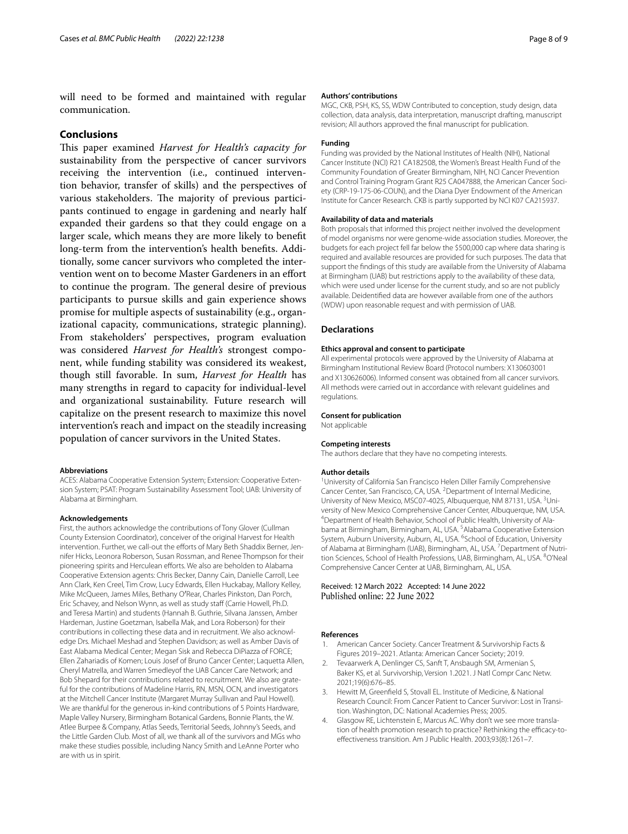will need to be formed and maintained with regular communication.

## **Conclusions**

This paper examined *Harvest for Health's capacity for* sustainability from the perspective of cancer survivors receiving the intervention (i.e., continued intervention behavior, transfer of skills) and the perspectives of various stakeholders. The majority of previous participants continued to engage in gardening and nearly half expanded their gardens so that they could engage on a larger scale, which means they are more likely to beneft long-term from the intervention's health benefts. Additionally, some cancer survivors who completed the intervention went on to become Master Gardeners in an efort to continue the program. The general desire of previous participants to pursue skills and gain experience shows promise for multiple aspects of sustainability (e.g., organizational capacity, communications, strategic planning). From stakeholders' perspectives, program evaluation was considered *Harvest for Health's* strongest component, while funding stability was considered its weakest, though still favorable. In sum, *Harvest for Health* has many strengths in regard to capacity for individual-level and organizational sustainability. Future research will capitalize on the present research to maximize this novel intervention's reach and impact on the steadily increasing population of cancer survivors in the United States.

#### **Abbreviations**

ACES: Alabama Cooperative Extension System; Extension: Cooperative Extension System; PSAT: Program Sustainability Assessment Tool; UAB: University of Alabama at Birmingham.

#### **Acknowledgements**

First, the authors acknowledge the contributions of Tony Glover (Cullman County Extension Coordinator), conceiver of the original Harvest for Health intervention. Further, we call-out the efforts of Mary Beth Shaddix Berner, Jennifer Hicks, Leonora Roberson, Susan Rossman, and Renee Thompson for their pioneering spirits and Herculean efforts. We also are beholden to Alabama Cooperative Extension agents: Chris Becker, Danny Cain, Danielle Carroll, Lee Ann Clark, Ken Creel, Tim Crow, Lucy Edwards, Ellen Huckabay, Mallory Kelley, Mike McQueen, James Miles, Bethany O′Rear, Charles Pinkston, Dan Porch, Eric Schavey, and Nelson Wynn, as well as study staf (Carrie Howell, Ph.D. and Teresa Martin) and students (Hannah B. Guthrie, Silvana Janssen, Amber Hardeman, Justine Goetzman, Isabella Mak, and Lora Roberson) for their contributions in collecting these data and in recruitment. We also acknowledge Drs. Michael Meshad and Stephen Davidson; as well as Amber Davis of East Alabama Medical Center; Megan Sisk and Rebecca DiPiazza of FORCE; Ellen Zahariadis of Komen; Louis Josef of Bruno Cancer Center; Laquetta Allen, Cheryl Matrella, and Warren Smedleyof the UAB Cancer Care Network; and Bob Shepard for their contributions related to recruitment. We also are grateful for the contributions of Madeline Harris, RN, MSN, OCN, and investigators at the Mitchell Cancer Institute (Margaret Murray Sullivan and Paul Howell). We are thankful for the generous in-kind contributions of 5 Points Hardware, Maple Valley Nursery, Birmingham Botanical Gardens, Bonnie Plants, the W. Atlee Burpee & Company, Atlas Seeds, Territorial Seeds, Johnny's Seeds, and the Little Garden Club. Most of all, we thank all of the survivors and MGs who make these studies possible, including Nancy Smith and LeAnne Porter who are with us in spirit.

#### **Authors' contributions**

MGC, CKB, PSH, KS, SS, WDW Contributed to conception, study design, data collection, data analysis, data interpretation, manuscript drafting, manuscript revision; All authors approved the fnal manuscript for publication.

#### **Funding**

Funding was provided by the National Institutes of Health (NIH), National Cancer Institute (NCI) R21 CA182508, the Women's Breast Health Fund of the Community Foundation of Greater Birmingham, NIH, NCI Cancer Prevention and Control Training Program Grant R25 CA047888, the American Cancer Society (CRP-19-175-06-COUN), and the Diana Dyer Endowment of the American Institute for Cancer Research. CKB is partly supported by NCI K07 CA215937.

#### **Availability of data and materials**

Both proposals that informed this project neither involved the development of model organisms nor were genome-wide association studies. Moreover, the budgets for each project fell far below the \$500,000 cap where data sharing is required and available resources are provided for such purposes. The data that support the fndings of this study are available from the University of Alabama at Birmingham (UAB) but restrictions apply to the availability of these data, which were used under license for the current study, and so are not publicly available. Deidentifed data are however available from one of the authors (WDW) upon reasonable request and with permission of UAB.

#### **Declarations**

#### **Ethics approval and consent to participate**

All experimental protocols were approved by the University of Alabama at Birmingham Institutional Review Board (Protocol numbers: X130603001 and X130626006). Informed consent was obtained from all cancer survivors. All methods were carried out in accordance with relevant guidelines and regulations.

#### **Consent for publication**

Not applicable

#### **Competing interests**

The authors declare that they have no competing interests.

#### **Author details**

<sup>1</sup> University of California San Francisco Helen Diller Family Comprehensive Cancer Center, San Francisco, CA, USA. <sup>2</sup> Department of Internal Medicine, University of New Mexico, MSC07-4025, Albuquerque, NM 87131, USA. <sup>3</sup>University of New Mexico Comprehensive Cancer Center, Albuquerque, NM, USA. 4 <sup>4</sup> Department of Health Behavior, School of Public Health, University of Alabama at Birmingham, Birmingham, AL, USA.<sup>5</sup> Alabama Cooperative Extension System, Auburn University, Auburn, AL, USA. <sup>6</sup>School of Education, University of Alabama at Birmingham (UAB), Birmingham, AL, USA. <sup>7</sup> Department of Nutrition Sciences, School of Health Professions, UAB, Birmingham, AL, USA. <sup>8</sup>O'Neal Comprehensive Cancer Center at UAB, Birmingham, AL, USA.

#### Received: 12 March 2022 Accepted: 14 June 2022 Published online: 22 June 2022

#### **References**

- <span id="page-7-0"></span>1. American Cancer Society. Cancer Treatment & Survivorship Facts & Figures 2019–2021. Atlanta: American Cancer Society; 2019.
- 2. Tevaarwerk A, Denlinger CS, Sanft T, Ansbaugh SM, Armenian S, Baker KS, et al. Survivorship, Version 1.2021. J Natl Compr Canc Netw. 2021;19(6):676–85.
- <span id="page-7-1"></span>3. Hewitt M, Greenfeld S, Stovall EL. Institute of Medicine, & National Research Council: From Cancer Patient to Cancer Survivor: Lost in Transi‑ tion. Washington, DC: National Academies Press; 2005.
- <span id="page-7-2"></span>4. Glasgow RE, Lichtenstein E, Marcus AC. Why don't we see more translation of health promotion research to practice? Rethinking the efficacy-toefectiveness transition. Am J Public Health. 2003;93(8):1261–7.